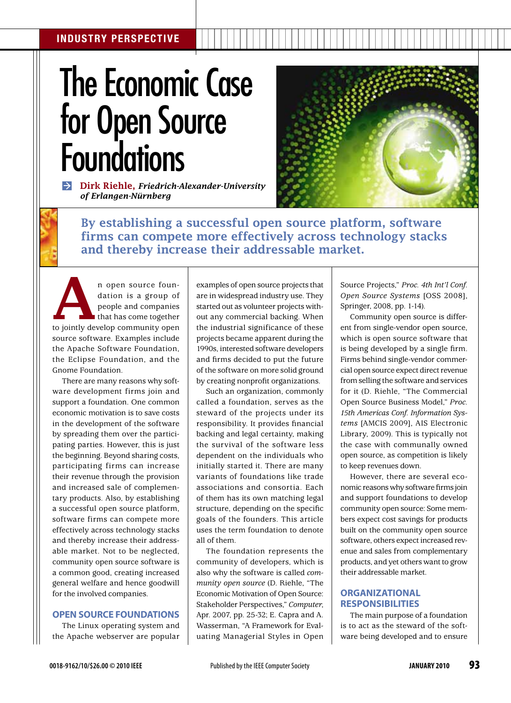# INDUSTRY PERSPECTIVE

# The Economic Case for Open Source **Foundations**

Dirk Riehle, *Friedrich-Alexander-University of Erlangen-Nürnberg*



By establishing a successful open source platform, software firms can compete more effectively across technology stacks and thereby increase their addressable market.

n open source foun-<br>dation is a group of<br>people and companies<br>that has come together<br>to jointly develop community open dation is a group of people and companies I that has come together source software. Examples include the Apache Software Foundation, the Eclipse Foundation, and the Gnome Foundation.

There are many reasons why software development firms join and support a foundation. One common economic motivation is to save costs in the development of the software by spreading them over the participating parties. However, this is just the beginning. Beyond sharing costs, participating firms can increase their revenue through the provision and increased sale of complementary products. Also, by establishing a successful open source platform, software firms can compete more effectively across technology stacks and thereby increase their addressable market. Not to be neglected, community open source software is a common good, creating increased general welfare and hence goodwill for the involved companies.

## **Open Source Foundations**

The Linux operating system and the Apache webserver are popular examples of open source projects that are in widespread industry use. They started out as volunteer projects without any commercial backing. When the industrial significance of these projects became apparent during the 1990s, interested software developers and firms decided to put the future of the software on more solid ground by creating nonprofit organizations.

Such an organization, commonly called a foundation, serves as the steward of the projects under its responsibility. It provides financial backing and legal certainty, making the survival of the software less dependent on the individuals who initially started it. There are many variants of foundations like trade associations and consortia. Each of them has its own matching legal structure, depending on the specific goals of the founders. This article uses the term foundation to denote all of them.

The foundation represents the community of developers, which is also why the software is called *community open source* (D. Riehle, "The Economic Motivation of Open Source: Stakeholder Perspectives," *Computer*, Apr. 2007, pp. 25-32; E. Capra and A. Wasserman, "A Framework for Evaluating Managerial Styles in Open Source Projects," *Proc. 4th Int'l Conf. Open Source Systems* [OSS 2008], Springer, 2008, pp. 1-14).

Community open source is different from single-vendor open source, which is open source software that is being developed by a single firm. Firms behind single-vendor commercial open source expect direct revenue from selling the software and services for it (D. Riehle, "The Commercial Open Source Business Model," *Proc. 15th Americas Conf. Information Systems* [AMCIS 2009], AIS Electronic Library, 2009). This is typically not the case with communally owned open source, as competition is likely to keep revenues down.

However, there are several economic reasons why software firms join and support foundations to develop community open source: Some members expect cost savings for products built on the community open source software, others expect increased revenue and sales from complementary products, and yet others want to grow their addressable market.

#### **Organizational RESPONSIBILITIES**

The main purpose of a foundation is to act as the steward of the software being developed and to ensure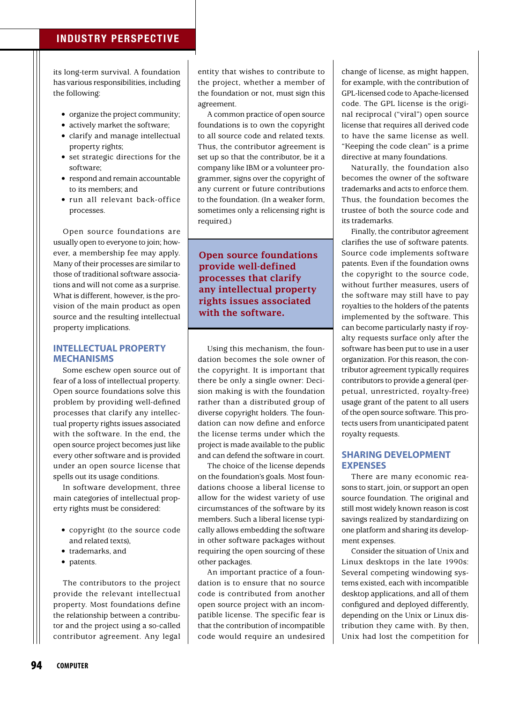# INDUSTRY PERSPECTIVE

its long-term survival. A foundation has various responsibilities, including the following:

- organize the project community;
- actively market the software;
- clarify and manage intellectual property rights;
- set strategic directions for the software;
- respond and remain accountable to its members; and
- run all relevant back-office processes.

Open source foundations are usually open to everyone to join; however, a membership fee may apply. Many of their processes are similar to those of traditional software associations and will not come as a surprise. What is different, however, is the provision of the main product as open source and the resulting intellectual property implications.

### **Intellectual property mechanisms**

Some eschew open source out of fear of a loss of intellectual property. Open source foundations solve this problem by providing well-defined processes that clarify any intellectual property rights issues associated with the software. In the end, the open source project becomes just like every other software and is provided under an open source license that spells out its usage conditions.

In software development, three main categories of intellectual property rights must be considered:

- • copyright (to the source code and related texts),
- trademarks, and
- patents.

The contributors to the project provide the relevant intellectual property. Most foundations define the relationship between a contributor and the project using a so-called contributor agreement. Any legal entity that wishes to contribute to the project, whether a member of the foundation or not, must sign this agreement.

A common practice of open source foundations is to own the copyright to all source code and related texts. Thus, the contributor agreement is set up so that the contributor, be it a company like IBM or a volunteer programmer, signs over the copyright of any current or future contributions to the foundation. (In a weaker form, sometimes only a relicensing right is required.)

Open source foundations provide well-defined processes that clarify any intellectual property rights issues associated with the software.

Using this mechanism, the foundation becomes the sole owner of the copyright. It is important that there be only a single owner: Decision making is with the foundation rather than a distributed group of diverse copyright holders. The foundation can now define and enforce the license terms under which the project is made available to the public and can defend the software in court.

The choice of the license depends on the foundation's goals. Most foundations choose a liberal license to allow for the widest variety of use circumstances of the software by its members. Such a liberal license typically allows embedding the software in other software packages without requiring the open sourcing of these other packages.

An important practice of a foundation is to ensure that no source code is contributed from another open source project with an incompatible license. The specific fear is that the contribution of incompatible code would require an undesired change of license, as might happen, for example, with the contribution of GPL-licensed code to Apache-licensed code. The GPL license is the original reciprocal ("viral") open source license that requires all derived code to have the same license as well. "Keeping the code clean" is a prime directive at many foundations.

Naturally, the foundation also becomes the owner of the software trademarks and acts to enforce them. Thus, the foundation becomes the trustee of both the source code and its trademarks.

Finally, the contributor agreement clarifies the use of software patents. Source code implements software patents. Even if the foundation owns the copyright to the source code, without further measures, users of the software may still have to pay royalties to the holders of the patents implemented by the software. This can become particularly nasty if royalty requests surface only after the software has been put to use in a user organization. For this reason, the contributor agreement typically requires contributors to provide a general (perpetual, unrestricted, royalty-free) usage grant of the patent to all users of the open source software. This protects users from unanticipated patent royalty requests.

## **Sharing development expenses**

There are many economic reasons to start, join, or support an open source foundation. The original and still most widely known reason is cost savings realized by standardizing on one platform and sharing its development expenses.

Consider the situation of Unix and Linux desktops in the late 1990s: Several competing windowing systems existed, each with incompatible desktop applications, and all of them configured and deployed differently, depending on the Unix or Linux distribution they came with. By then, Unix had lost the competition for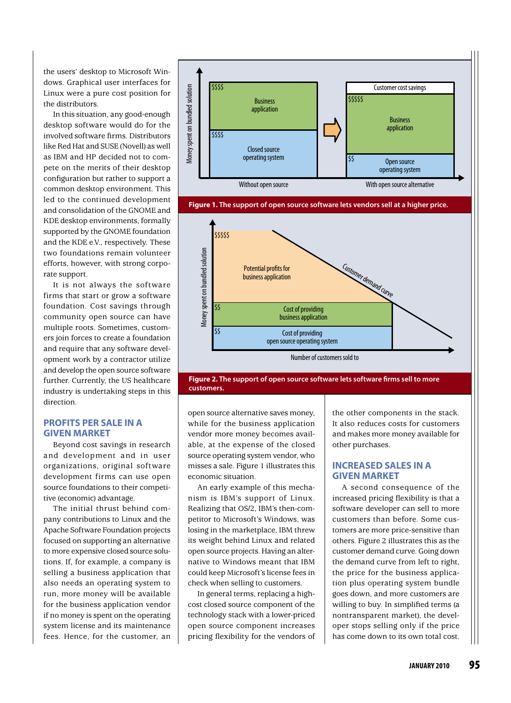the users' desktop to Microsoft Windows. Graphical user interfaces for Linux were a pure cost position for the distributors.

In this situation, any good-enough desktop software would do for the involved software firms. Distributors like Red Hat and SUSE (Novell) as well as IBM and HP decided not to compete on the merits of their desktop configuration but rather to support a common desktop environment. This led to the continued development and consolidation of the GNOME and KDE desktop environments, formally supported by the GNOME foundation and the KDE e.V., respectively. These two foundations remain volunteer efforts, however, with strong corporate support.

It is not always the software firms that start or grow a software foundation. Cost savings through community open source can have multiple roots. Sometimes, customers join forces to create a foundation and require that any software development work by a contractor utilize and develop the open source software further. Currently, the US healthcare industry is undertaking steps in this direction.

#### **profits per sale in a given market**

Beyond cost savings in research and development and in user organizations, original software development firms can use open source foundations to their competitive (economic) advantage.

The initial thrust behind company contributions to Linux and the Apache Software Foundation projects focused on supporting an alternative to more expensive closed source solutions. If, for example, a company is selling a business application that also needs an operating system to run, more money will be available for the business application vendor if no money is spent on the operating system license and its maintenance fees. Hence, for the customer, an



**Figure 2. The support of open source software lets software firms sell to more customers.**

open source alternative saves money, while for the business application vendor more money becomes available, at the expense of the closed source operating system vendor, who misses a sale. Figure 1 illustrates this economic situation.

An early example of this mechanism is IBM's support of Linux. Realizing that OS/2, IBM's then-competitor to Microsoft's Windows, was losing in the marketplace, IBM threw its weight behind Linux and related open source projects. Having an alternative to Windows meant that IBM could keep Microsoft's license fees in check when selling to customers.

In general terms, replacing a highcost closed source component of the technology stack with a lower-priced open source component increases pricing flexibility for the vendors of the other components in the stack. It also reduces costs for customers and makes more money available for other purchases.

#### **increased sales in a given market**

A second consequence of the increased pricing flexibility is that a software developer can sell to more customers than before. Some customers are more price-sensitive than others. Figure 2 illustrates this as the customer demand curve. Going down the demand curve from left to right, the price for the business application plus operating system bundle goes down, and more customers are willing to buy. In simplified terms (a nontransparent market), the developer stops selling only if the price has come down to its own total cost.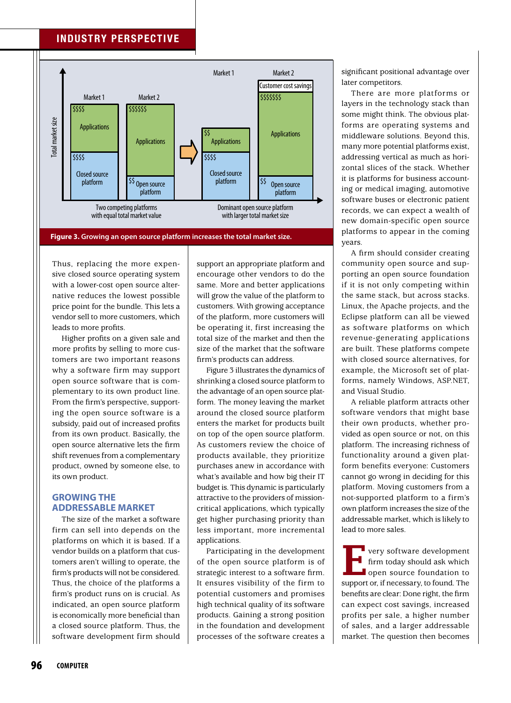# INDUSTRY PERSPECTIVE



**Figure 3. Growing an open source platform increases the total market size.**

Thus, replacing the more expensive closed source operating system with a lower-cost open source alternative reduces the lowest possible price point for the bundle. This lets a vendor sell to more customers, which leads to more profits.

Higher profits on a given sale and more profits by selling to more customers are two important reasons why a software firm may support open source software that is complementary to its own product line. From the firm's perspective, supporting the open source software is a subsidy, paid out of increased profits from its own product. Basically, the open source alternative lets the firm shift revenues from a complementary product, owned by someone else, to its own product.

## **Growing the addressable market**

The size of the market a software firm can sell into depends on the platforms on which it is based. If a vendor builds on a platform that customers aren't willing to operate, the firm's products will not be considered. Thus, the choice of the platforms a firm's product runs on is crucial. As indicated, an open source platform is economically more beneficial than a closed source platform. Thus, the software development firm should

support an appropriate platform and encourage other vendors to do the same. More and better applications will grow the value of the platform to customers. With growing acceptance of the platform, more customers will be operating it, first increasing the total size of the market and then the size of the market that the software firm's products can address.

Figure 3 illustrates the dynamics of shrinking a closed source platform to the advantage of an open source platform. The money leaving the market around the closed source platform enters the market for products built on top of the open source platform. As customers review the choice of products available, they prioritize purchases anew in accordance with what's available and how big their IT budget is. This dynamic is particularly attractive to the providers of missioncritical applications, which typically get higher purchasing priority than less important, more incremental applications.

Participating in the development of the open source platform is of strategic interest to a software firm. It ensures visibility of the firm to potential customers and promises high technical quality of its software products. Gaining a strong position in the foundation and development processes of the software creates a significant positional advantage over later competitors.

There are more platforms or layers in the technology stack than some might think. The obvious platforms are operating systems and middleware solutions. Beyond this, many more potential platforms exist, addressing vertical as much as horizontal slices of the stack. Whether it is platforms for business accounting or medical imaging, automotive software buses or electronic patient records, we can expect a wealth of new domain-specific open source platforms to appear in the coming years.

A firm should consider creating community open source and supporting an open source foundation if it is not only competing within the same stack, but across stacks. Linux, the Apache projects, and the Eclipse platform can all be viewed as software platforms on which revenue-generating applications are built. These platforms compete with closed source alternatives, for example, the Microsoft set of platforms, namely Windows, ASP.NET, and Visual Studio.

A reliable platform attracts other software vendors that might base their own products, whether provided as open source or not, on this platform. The increasing richness of functionality around a given platform benefits everyone: Customers cannot go wrong in deciding for this platform. Moving customers from a not-supported platform to a firm's own platform increases the size of the addressable market, which is likely to lead to more sales.

very software development firm today should ask which open source foundation to support or, if necessary, to found. The benefits are clear: Done right, the firm can expect cost savings, increased profits per sale, a higher number of sales, and a larger addressable market. The question then becomes